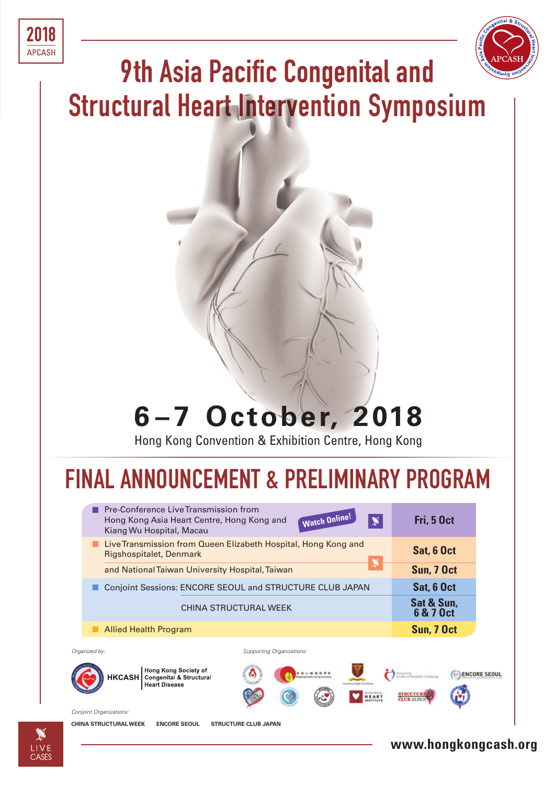



# **9th Asia Pacific Congenital and Structural Heart Intervention Symposium**

# **6 – 7 October, 2018**

Hong Kong Convention & Exhibition Centre, Hong Kong

# **FINAL ANNOUNCEMENT & PRELIMINARY PROGRAM**

| Pre-Conference Live Transmission from<br>Hong Kong Asia Heart Centre, Hong Kong and<br>Kiang Wu Hospital, Macau                                          | <b>Watch Online!</b><br>$\mathbb X$ | Fri, 5 Oct              |  |
|----------------------------------------------------------------------------------------------------------------------------------------------------------|-------------------------------------|-------------------------|--|
| Live Transmission from Queen Elizabeth Hospital, Hong Kong and<br>Rigshospitalet, Denmark                                                                | Sat, 6 Oct                          |                         |  |
| and National Taiwan University Hospital, Taiwan                                                                                                          | Sun, 7 Oct                          |                         |  |
| Conjoint Sessions: ENCORE SEOUL and STRUCTURE CLUB JAPAN                                                                                                 | Sat, 6 Oct                          |                         |  |
|                                                                                                                                                          | <b>CHINA STRUCTURAL WEEK</b>        | Sat & Sun,<br>6 & 7 Oct |  |
| <b>Allied Health Program</b>                                                                                                                             |                                     | Sun, 7 Oct              |  |
| Organized by:                                                                                                                                            | Supporting Organizations:           |                         |  |
| Hong Kong Society of<br><b>ENCORE SEOUL</b><br><b>HKCASH</b> Congenital & Structural<br><b>Bang Keng Cardiac Norsing America</b><br><b>Heart Disease</b> |                                     |                         |  |
| Conjoint Organizations:                                                                                                                                  |                                     |                         |  |
| <b>CHINA STRUCTURAL WEEK</b><br><b>ENCORE SEOUL</b>                                                                                                      | <b>STRUCTURE CLUB JAPAN</b>         |                         |  |

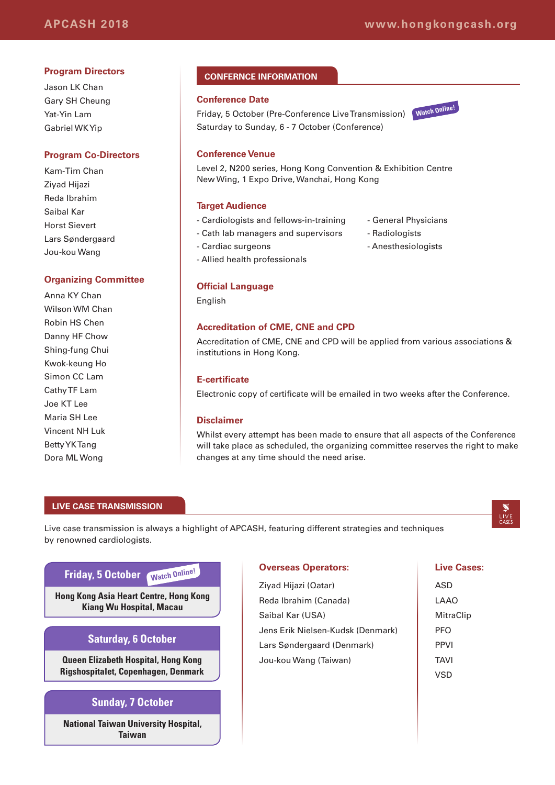#### **Program Directors**

Jason LK Chan Gary SH Cheung Yat-Yin Lam Gabriel WK Yip

#### **Program Co-Directors**

Kam-Tim Chan Ziyad Hijazi Reda Ibrahim Saibal Kar Horst Sievert Lars Søndergaard Jou-kou Wang

#### **Organizing Committee**

Anna KY Chan Wilson WM Chan Robin HS Chen Danny HF Chow Shing-fung Chui Kwok-keung Ho Simon CC Lam Cathy TF Lam Joe KT Lee Maria SH Lee Vincent NH Luk Betty YK Tang Dora ML Wong

#### **CONFERNCE INFORMATION**

#### **Conference Date**

Friday, 5 October (Pre-Conference Live Transmission) **Watch Online!** Saturday to Sunday, 6 - 7 October (Conference)



#### **Conference Venue**

Level 2, N200 series, Hong Kong Convention & Exhibition Centre New Wing, 1 Expo Drive, Wanchai, Hong Kong

#### **Target Audience**

- Cardiologists and fellows-in-training General Physicians
- Cath lab managers and supervisors Radiologists
- Cardiac surgeons Anesthesiologists
- Allied health professionals

#### **Official Language**

English

#### **Accreditation of CME, CNE and CPD**

Accreditation of CME, CNE and CPD will be applied from various associations & institutions in Hong Kong.

#### **E-certificate**

Electronic copy of certificate will be emailed in two weeks after the Conference.

#### **Disclaimer**

Whilst every attempt has been made to ensure that all aspects of the Conference will take place as scheduled, the organizing committee reserves the right to make changes at any time should the need arise.

#### **LIVE CASE TRANSMISSION**

Live case transmission is always a highlight of APCASH, featuring different strategies and techniques by renowned cardiologists.

#### **Friday, 5 October Watch Online!**

**Hong Kong Asia Heart Centre, Hong Kong Kiang Wu Hospital, Macau**

#### **Saturday, 6 October**

**Queen Elizabeth Hospital, Hong Kong Rigshospitalet, Copenhagen, Denmark**

#### **Sunday, 7 October**

**National Taiwan University Hospital, Taiwan**

#### **Overseas Operators:**

Ziyad Hijazi (Qatar) Reda Ibrahim (Canada) Saibal Kar (USA) Jens Erik Nielsen-Kudsk (Denmark) Lars Søndergaard (Denmark) Jou-kou Wang (Taiwan)

#### **Live Cases:**

 $LIVE$ 

ASD LAAO **MitraClip** PFO PPVI TAVI VSD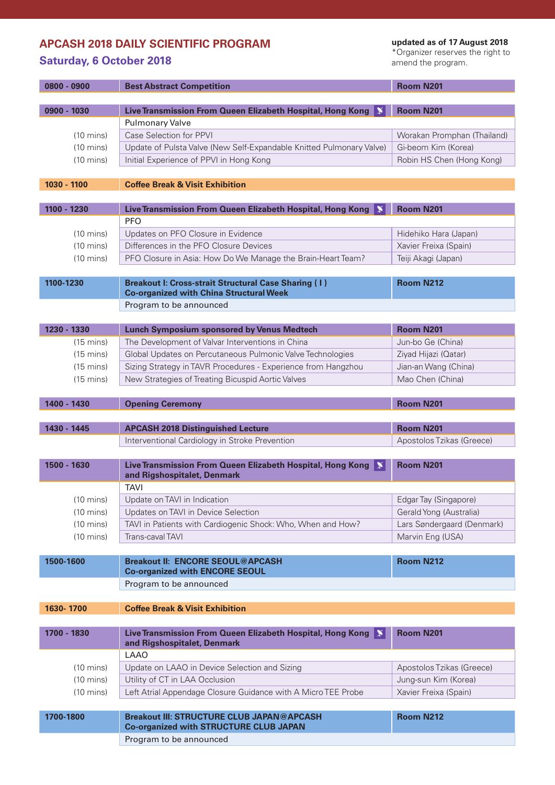### **APCASH 2018 DAILY SCIENTIFIC PROGRAM**

## **Saturday, 6 October 2018**

**updated as of 17 August 2018**

\*Organizer reserves the right to amend the program.

|             | 0800 - 0900         | <b>Best Abstract Competition</b>                                                                                      | <b>Room N201</b>            |
|-------------|---------------------|-----------------------------------------------------------------------------------------------------------------------|-----------------------------|
| 0900 - 1030 |                     | Live Transmission From Queen Elizabeth Hospital, Hong Kong                                                            | <b>Room N201</b>            |
|             |                     | <b>Pulmonary Valve</b>                                                                                                |                             |
|             | $(10 \text{ mins})$ | Case Selection for PPVI                                                                                               | Worakan Promphan (Thailand) |
|             | $(10 \text{ mins})$ | Update of Pulsta Valve (New Self-Expandable Knitted Pulmonary Valve)                                                  | Gi-beom Kim (Korea)         |
|             | $(10 \text{ mins})$ | Initial Experience of PPVI in Hong Kong                                                                               | Robin HS Chen (Hong Kong)   |
|             |                     |                                                                                                                       |                             |
| 1030 - 1100 |                     | <b>Coffee Break &amp; Visit Exhibition</b>                                                                            |                             |
| 1100 - 1230 |                     | Live Transmission From Queen Elizabeth Hospital, Hong Kong                                                            |                             |
|             |                     | <b>PFO</b>                                                                                                            | Room N201                   |
|             | $(10 \text{ mins})$ | Updates on PFO Closure in Evidence                                                                                    | Hidehiko Hara (Japan)       |
|             | $(10 \text{ mins})$ | Differences in the PFO Closure Devices                                                                                | Xavier Freixa (Spain)       |
|             | $(10 \text{ mins})$ | PFO Closure in Asia: How Do We Manage the Brain-Heart Team?                                                           | Teiji Akagi (Japan)         |
|             |                     |                                                                                                                       |                             |
| 1100-1230   |                     | <b>Breakout I: Cross-strait Structural Case Sharing (1)</b>                                                           | <b>Room N212</b>            |
|             |                     | <b>Co-organized with China Structural Week</b>                                                                        |                             |
|             |                     | Program to be announced                                                                                               |                             |
|             |                     |                                                                                                                       |                             |
|             | 1230 - 1330         | <b>Lunch Symposium sponsored by Venus Medtech</b>                                                                     | <b>Room N201</b>            |
|             | $(15 \text{ mins})$ | The Development of Valvar Interventions in China                                                                      | Jun-bo Ge (China)           |
|             | $(15 \text{ mins})$ | Global Updates on Percutaneous Pulmonic Valve Technologies                                                            | Ziyad Hijazi (Qatar)        |
|             | $(15 \text{ mins})$ | Sizing Strategy in TAVR Procedures - Experience from Hangzhou                                                         | Jian-an Wang (China)        |
|             | $(15 \text{ mins})$ | New Strategies of Treating Bicuspid Aortic Valves                                                                     | Mao Chen (China)            |
|             | 1400 - 1430         | <b>Opening Ceremony</b>                                                                                               | <b>Room N201</b>            |
|             |                     |                                                                                                                       |                             |
| 1430 - 1445 |                     | <b>APCASH 2018 Distinguished Lecture</b>                                                                              | <b>Room N201</b>            |
|             |                     | Interventional Cardiology in Stroke Prevention                                                                        | Apostolos Tzikas (Greece)   |
|             |                     |                                                                                                                       |                             |
| 1500 - 1630 |                     | Live Transmission From Queen Elizabeth Hospital, Hong Kong<br>IX<br>and Rigshospitalet, Denmark                       | Room N201                   |
|             |                     | TAVI                                                                                                                  |                             |
|             | $(10 \text{ mins})$ | Update on TAVI in Indication                                                                                          | Edgar Tay (Singapore)       |
|             | $(10 \text{ mins})$ | Updates on TAVI in Device Selection                                                                                   | Gerald Yong (Australia)     |
|             | $(10 \text{ mins})$ | TAVI in Patients with Cardiogenic Shock: Who, When and How?                                                           | Lars Søndergaard (Denmark)  |
|             | $(10 \text{ mins})$ | Trans-caval TAVI                                                                                                      | Marvin Eng (USA)            |
|             |                     |                                                                                                                       |                             |
| 1500-1600   |                     | <b>Breakout II: ENCORE SEOUL@APCASH</b>                                                                               | <b>Room N212</b>            |
|             |                     |                                                                                                                       |                             |
|             |                     | <b>Co-organized with ENCORE SEOUL</b>                                                                                 |                             |
|             |                     | Program to be announced                                                                                               |                             |
|             |                     |                                                                                                                       |                             |
| 1630-1700   |                     | <b>Coffee Break &amp; Visit Exhibition</b>                                                                            |                             |
| 1700 - 1830 |                     | Live Transmission From Queen Elizabeth Hospital, Hong Kong<br>IX.                                                     | <b>Room N201</b>            |
|             |                     | and Rigshospitalet, Denmark<br><b>LAAO</b>                                                                            |                             |
|             | $(10 \text{ mins})$ | Update on LAAO in Device Selection and Sizing                                                                         | Apostolos Tzikas (Greece)   |
|             | $(10 \text{ mins})$ | Utility of CT in LAA Occlusion                                                                                        | Jung-sun Kim (Korea)        |
|             | $(10 \text{ mins})$ | Left Atrial Appendage Closure Guidance with A Micro TEE Probe                                                         | Xavier Freixa (Spain)       |
|             |                     |                                                                                                                       |                             |
| 1700-1800   |                     | Breakout III: STRUCTURE CLUB JAPAN@APCASH<br><b>Co-organized with STRUCTURE CLUB JAPAN</b><br>Program to be announced | <b>Room N212</b>            |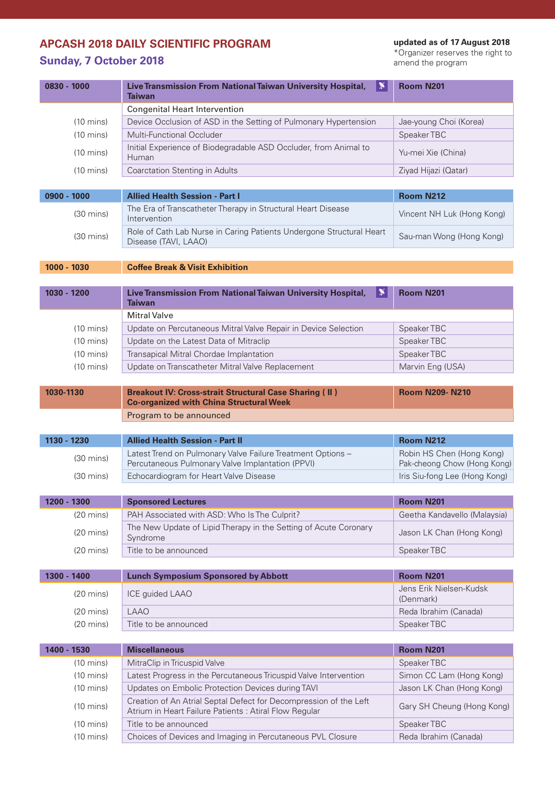## **APCASH 2018 DAILY SCIENTIFIC PROGRAM**

## **Sunday, 7 October 2018**

**updated as of 17 August 2018**

\*Organizer reserves the right to amend the program

| 0830 - 1000                                      |                     | ≋<br>Live Transmission From National Taiwan University Hospital,<br>Taiwan                                                  | <b>Room N201</b>                                         |
|--------------------------------------------------|---------------------|-----------------------------------------------------------------------------------------------------------------------------|----------------------------------------------------------|
|                                                  |                     |                                                                                                                             |                                                          |
|                                                  | $(10 \text{ mins})$ | Device Occlusion of ASD in the Setting of Pulmonary Hypertension                                                            | Jae-young Choi (Korea)                                   |
| Multi-Functional Occluder<br>$(10 \text{ mins})$ |                     |                                                                                                                             | Speaker TBC                                              |
|                                                  | $(10 \text{ mins})$ | Initial Experience of Biodegradable ASD Occluder, from Animal to<br>Human                                                   | Yu-mei Xie (China)                                       |
|                                                  | $(10 \text{ mins})$ | <b>Coarctation Stenting in Adults</b>                                                                                       | Ziyad Hijazi (Qatar)                                     |
|                                                  |                     |                                                                                                                             |                                                          |
| $0900 - 1000$                                    |                     | <b>Allied Health Session - Part I</b>                                                                                       | <b>Room N212</b>                                         |
|                                                  | $(30 \text{ mins})$ | The Era of Transcatheter Therapy in Structural Heart Disease<br>Intervention                                                | Vincent NH Luk (Hong Kong)                               |
|                                                  | $(30 \text{ mins})$ | Role of Cath Lab Nurse in Caring Patients Undergone Structural Heart<br>Disease (TAVI, LAAO)                                | Sau-man Wong (Hong Kong)                                 |
| 1000 - 1030                                      |                     | <b>Coffee Break &amp; Visit Exhibition</b>                                                                                  |                                                          |
|                                                  |                     |                                                                                                                             |                                                          |
| 1030 - 1200                                      |                     | Live Transmission From National Taiwan University Hospital,<br>≸<br><b>Taiwan</b>                                           | <b>Room N201</b>                                         |
|                                                  |                     | Mitral Valve                                                                                                                |                                                          |
|                                                  | $(10 \text{ mins})$ | Update on Percutaneous Mitral Valve Repair in Device Selection                                                              | Speaker TBC                                              |
|                                                  | $(10 \text{ mins})$ | Update on the Latest Data of Mitraclip                                                                                      | Speaker TBC                                              |
|                                                  | $(10 \text{ mins})$ | Transapical Mitral Chordae Implantation                                                                                     | Speaker TBC                                              |
|                                                  | $(10 \text{ mins})$ | Update on Transcatheter Mitral Valve Replacement                                                                            | Marvin Eng (USA)                                         |
|                                                  |                     |                                                                                                                             |                                                          |
| 1030-1130                                        |                     | <b>Breakout IV: Cross-strait Structural Case Sharing (II)</b><br><b>Co-organized with China Structural Week</b>             | <b>Room N209-N210</b>                                    |
|                                                  |                     | Program to be announced                                                                                                     |                                                          |
|                                                  |                     |                                                                                                                             |                                                          |
| 1130 - 1230                                      |                     | <b>Allied Health Session - Part II</b>                                                                                      | <b>Room N212</b>                                         |
|                                                  | $(30 \text{ mins})$ | Latest Trend on Pulmonary Valve Failure Treatment Options -<br>Percutaneous Pulmonary Valve Implantation (PPVI)             | Robin HS Chen (Hong Kong)<br>Pak-cheong Chow (Hong Kong) |
|                                                  | $(30 \text{ mins})$ | Echocardiogram for Heart Valve Disease                                                                                      | Iris Siu-fong Lee (Hong Kong)                            |
|                                                  |                     |                                                                                                                             |                                                          |
|                                                  | 1200 - 1300         | <b>Sponsored Lectures</b>                                                                                                   | Room N201                                                |
|                                                  | $(20 \text{ mins})$ | PAH Associated with ASD: Who Is The Culprit?                                                                                | Geetha Kandavello (Malaysia)                             |
|                                                  | $(20 \text{ mins})$ | The New Update of Lipid Therapy in the Setting of Acute Coronary<br>Syndrome                                                | Jason LK Chan (Hong Kong)                                |
|                                                  | $(20 \text{ mins})$ | Title to be announced                                                                                                       | Speaker TBC                                              |
|                                                  |                     |                                                                                                                             |                                                          |
|                                                  | 1300 - 1400         | <b>Lunch Symposium Sponsored by Abbott</b>                                                                                  | <b>Room N201</b>                                         |
|                                                  | $(20 \text{ mins})$ | ICE guided LAAO                                                                                                             | Jens Erik Nielsen-Kudsk<br>(Denmark)                     |
|                                                  | $(20 \text{ mins})$ | <b>LAAO</b>                                                                                                                 | Reda Ibrahim (Canada)                                    |
|                                                  | $(20 \text{ mins})$ | Title to be announced                                                                                                       | Speaker TBC                                              |
|                                                  |                     |                                                                                                                             |                                                          |
|                                                  | 1400 - 1530         | <b>Miscellaneous</b>                                                                                                        | Room N201                                                |
|                                                  | $(10 \text{ mins})$ | MitraClip in Tricuspid Valve                                                                                                | Speaker TBC                                              |
|                                                  | $(10 \text{ mins})$ | Latest Progress in the Percutaneous Tricuspid Valve Intervention                                                            | Simon CC Lam (Hong Kong)                                 |
|                                                  | $(10 \text{ mins})$ | Updates on Embolic Protection Devices during TAVI                                                                           | Jason LK Chan (Hong Kong)                                |
|                                                  | $(10 \text{ mins})$ | Creation of An Atrial Septal Defect for Decompression of the Left<br>Atrium in Heart Failure Patients : Atiral Flow Regular | Gary SH Cheung (Hong Kong)                               |
|                                                  | $(10 \text{ mins})$ | Title to be announced                                                                                                       | Speaker TBC                                              |
|                                                  | $(10 \text{ mins})$ | Choices of Devices and Imaging in Percutaneous PVL Closure                                                                  | Reda Ibrahim (Canada)                                    |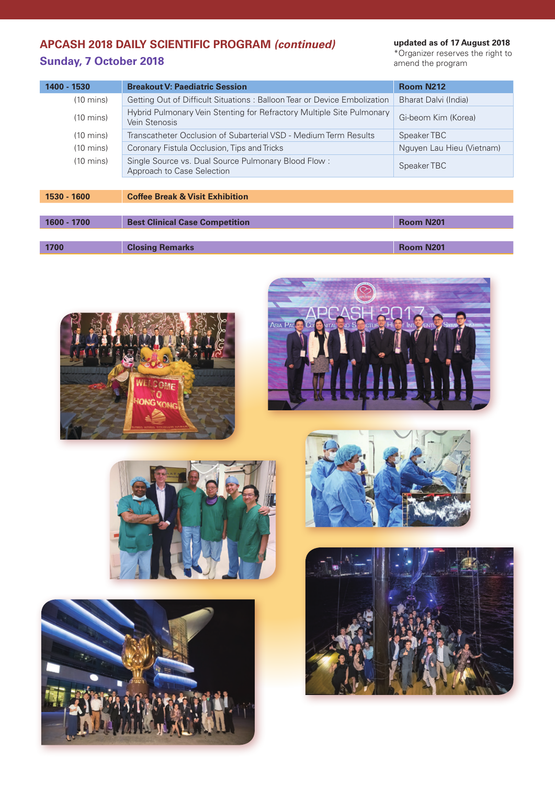## **APCASH 2018 DAILY SCIENTIFIC PROGRAM** *(continued)* **Sunday, 7 October 2018**

**updated as of 17 August 2018**

\*Organizer reserves the right to amend the program

| 1400 - 1530         | <b>Breakout V: Paediatric Session</b>                                                  | Room N212                 |
|---------------------|----------------------------------------------------------------------------------------|---------------------------|
| $(10 \text{ mins})$ | Getting Out of Difficult Situations: Balloon Tear or Device Embolization               | Bharat Dalvi (India)      |
| $(10 \text{ mins})$ | Hybrid Pulmonary Vein Stenting for Refractory Multiple Site Pulmonary<br>Vein Stenosis | Gi-beom Kim (Korea)       |
| $(10 \text{ mins})$ | Transcatheter Occlusion of Subarterial VSD - Medium Term Results                       | Speaker TBC               |
| $(10 \text{ mins})$ | Coronary Fistula Occlusion, Tips and Tricks                                            | Nguyen Lau Hieu (Vietnam) |
| $(10 \text{ mins})$ | Single Source vs. Dual Source Pulmonary Blood Flow:<br>Approach to Case Selection      | Speaker TBC               |
|                     |                                                                                        |                           |
| 1530 - 1600         | <b>Coffee Break &amp; Visit Exhibition</b>                                             |                           |

| 1600 - 1700 | <b>Best Clinical Case Competition</b> | <b>Room N201</b> |
|-------------|---------------------------------------|------------------|
|             |                                       |                  |
| 1700        | <b>Closing Remarks</b>                | <b>Room N201</b> |